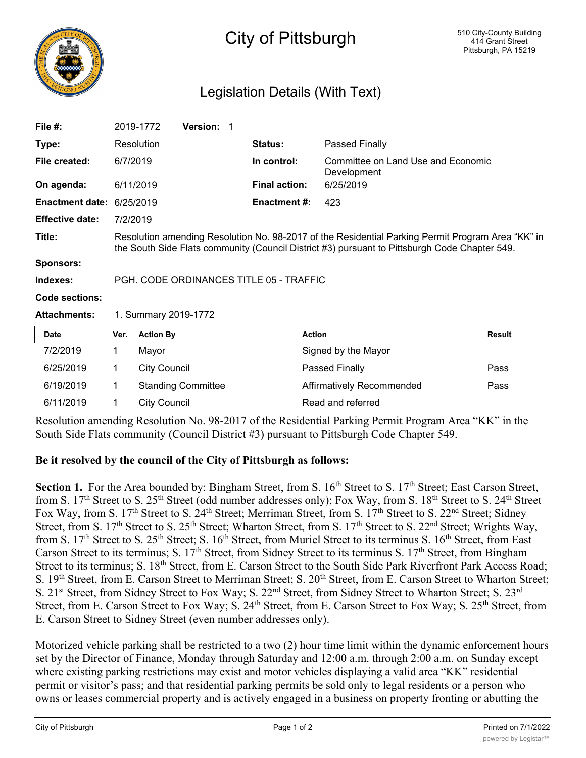

## City of Pittsburgh

## Legislation Details (With Text)

| File $#$ :             |                                                                                                                                                                                                    | 2019-1772           | <b>Version:</b>           | - 1 |                      |                           |                                                 |  |
|------------------------|----------------------------------------------------------------------------------------------------------------------------------------------------------------------------------------------------|---------------------|---------------------------|-----|----------------------|---------------------------|-------------------------------------------------|--|
| Type:                  |                                                                                                                                                                                                    | Resolution          |                           |     | Status:              | Passed Finally            |                                                 |  |
| File created:          |                                                                                                                                                                                                    | 6/7/2019            |                           |     | In control:          | Development               | Committee on Land Use and Economic<br>6/25/2019 |  |
| On agenda:             |                                                                                                                                                                                                    | 6/11/2019           |                           |     | <b>Final action:</b> |                           |                                                 |  |
| <b>Enactment date:</b> | 6/25/2019                                                                                                                                                                                          |                     |                           |     | <b>Enactment #:</b>  | 423                       |                                                 |  |
| <b>Effective date:</b> | 7/2/2019                                                                                                                                                                                           |                     |                           |     |                      |                           |                                                 |  |
| Title:                 | Resolution amending Resolution No. 98-2017 of the Residential Parking Permit Program Area "KK" in<br>the South Side Flats community (Council District #3) pursuant to Pittsburgh Code Chapter 549. |                     |                           |     |                      |                           |                                                 |  |
| <b>Sponsors:</b>       |                                                                                                                                                                                                    |                     |                           |     |                      |                           |                                                 |  |
| Indexes:               | PGH, CODE ORDINANCES TITLE 05 - TRAFFIC                                                                                                                                                            |                     |                           |     |                      |                           |                                                 |  |
| Code sections:         |                                                                                                                                                                                                    |                     |                           |     |                      |                           |                                                 |  |
| <b>Attachments:</b>    | 1. Summary 2019-1772                                                                                                                                                                               |                     |                           |     |                      |                           |                                                 |  |
| <b>Date</b>            | Ver.                                                                                                                                                                                               | <b>Action By</b>    |                           |     |                      | <b>Action</b>             | <b>Result</b>                                   |  |
| 7/2/2019               | 1                                                                                                                                                                                                  | Mayor               |                           |     |                      | Signed by the Mayor       |                                                 |  |
| 6/25/2019              | 1                                                                                                                                                                                                  | <b>City Council</b> |                           |     |                      | Passed Finally            | Pass                                            |  |
| 6/19/2019              | 1                                                                                                                                                                                                  |                     | <b>Standing Committee</b> |     |                      | Affirmatively Recommended | Pass                                            |  |

Resolution amending Resolution No. 98-2017 of the Residential Parking Permit Program Area "KK" in the South Side Flats community (Council District #3) pursuant to Pittsburgh Code Chapter 549.

## **Be it resolved by the council of the City of Pittsburgh as follows:**

6/11/2019 1 City Council Read and referred

Section 1. For the Area bounded by: Bingham Street, from S. 16<sup>th</sup> Street to S. 17<sup>th</sup> Street; East Carson Street, from S. 17<sup>th</sup> Street to S. 25<sup>th</sup> Street (odd number addresses only); Fox Way, from S. 18<sup>th</sup> Street to S. 24<sup>th</sup> Street Fox Way, from S. 17<sup>th</sup> Street to S. 24<sup>th</sup> Street; Merriman Street, from S. 17<sup>th</sup> Street to S. 22<sup>nd</sup> Street; Sidney Street, from S. 17<sup>th</sup> Street to S. 25<sup>th</sup> Street; Wharton Street, from S. 17<sup>th</sup> Street to S. 22<sup>nd</sup> Street; Wrights Way, from S. 17<sup>th</sup> Street to S. 25<sup>th</sup> Street; S. 16<sup>th</sup> Street, from Muriel Street to its terminus S. 16<sup>th</sup> Street, from East Carson Street to its terminus; S. 17<sup>th</sup> Street, from Sidney Street to its terminus S. 17<sup>th</sup> Street, from Bingham Street to its terminus; S. 18<sup>th</sup> Street, from E. Carson Street to the South Side Park Riverfront Park Access Road; S. 19<sup>th</sup> Street, from E. Carson Street to Merriman Street; S. 20<sup>th</sup> Street, from E. Carson Street to Wharton Street; S. 21<sup>st</sup> Street, from Sidney Street to Fox Way; S. 22<sup>nd</sup> Street, from Sidney Street to Wharton Street; S. 23<sup>rd</sup> Street, from E. Carson Street to Fox Way; S. 24<sup>th</sup> Street, from E. Carson Street to Fox Way; S. 25<sup>th</sup> Street, from E. Carson Street to Sidney Street (even number addresses only).

Motorized vehicle parking shall be restricted to a two (2) hour time limit within the dynamic enforcement hours set by the Director of Finance, Monday through Saturday and 12:00 a.m. through 2:00 a.m. on Sunday except where existing parking restrictions may exist and motor vehicles displaying a valid area "KK" residential permit or visitor's pass; and that residential parking permits be sold only to legal residents or a person who owns or leases commercial property and is actively engaged in a business on property fronting or abutting the